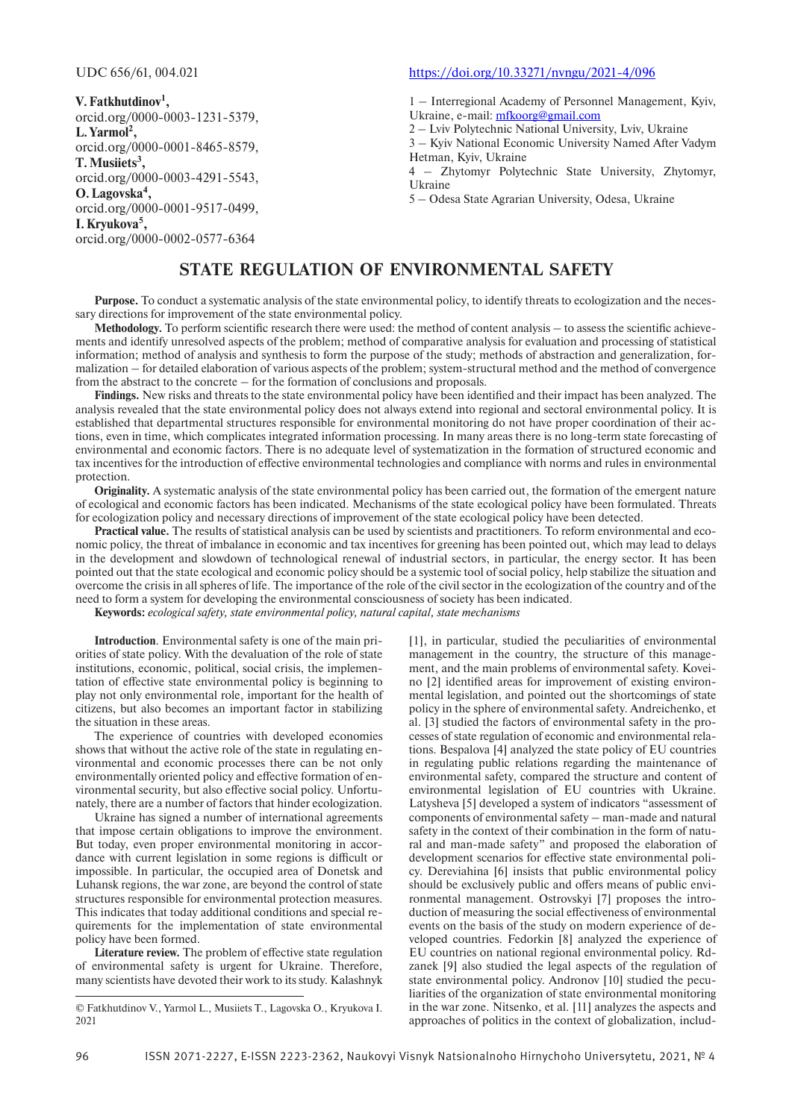**V.Fatkhutdinov1 ,** orcid.org/0000-0003-1231-5379, **L.Yarmol2 ,** orcid.org/0000-0001-8465-8579, **T.Musiiets3 ,** orcid.org/0000-0003-4291-5543, **O.Lagovska4 ,** orcid.org/0000-0001-9517-0499, **I.Kryukova5 ,** orcid.org/0000-0002-0577-6364

### UDC 656/61, 004.021 https://doi.org/10.33271/nvngu/2021-4/096

1 – Interregional Academy of Personnel Management, Kyiv, Ukraine, e-mail: mfkoorg@gmail.com

2 – Lviv Polytechnic National University, Lviv, Ukraine

3 – Kyiv National Economic University Named After Vadym Hetman, Kyiv, Ukraine

4 – Zhytomyr Polytechnic State University, Zhytomyr, Ukraine

5 – Odesa State Agrarian University, Odesa, Ukraine

# **STATE REGULATION OF ENVIRONMENTAL SAFETY**

**Purpose.** To conduct a systematic analysis of the state environmental policy, to identify threats to ecologization and the necessary directions for improvement of the state environmental policy.

**Methodology.** To perform scientific research there were used: the method of content analysis – to assess the scientific achievements and identify unresolved aspects of the problem; method of comparative analysis for evaluation and processing of statistical information; method of analysis and synthesis to form the purpose of the study; methods of abstraction and generalization, formalization – for detailed elaboration of various aspects of the problem; system-structural method and the method of convergence from the abstract to the concrete – for the formation of conclusions and proposals.

**Findings.** New risks and threats to the state environmental policy have been identified and their impact has been analyzed. The analysis revealed that the state environmental policy does not always extend into regional and sectoral environmental policy. It is established that departmental structures responsible for environmental monitoring do not have proper coordination of their actions, even in time, which complicates integrated information processing. In many areas there is no long-term state forecasting of environmental and economic factors. There is no adequate level of systematization in the formation of structured economic and tax incentives for the introduction of effective environmental technologies and compliance with norms and rules in environmental protection.

**Originality.** A systematic analysis of the state environmental policy has been carried out, the formation of the emergent nature of ecological and economic factors has been indicated. Mechanisms of the state ecological policy have been formulated. Threats for ecologization policy and necessary directions of improvement of the state ecological policy have been detected.

**Practical value.** The results of statistical analysis can be used by scientists and practitioners. To reform environmental and economic policy, the threat of imbalance in economic and tax incentives for greening has been pointed out, which may lead to delays in the development and slowdown of technological renewal of industrial sectors, in particular, the energy sector. It has been pointed out that the state ecological and economic policy should be a systemic tool of social policy, help stabilize the situation and overcome the crisis in all spheres of life. The importance of the role of the civil sector in the ecologization of the country and of the need to form a system for developing the environmental consciousness of society has been indicated.

**Keywords:** *ecological safety, state environmental policy, natural capital, state mechanisms*

**Introduction**. Environmental safety is one of the main priorities of state policy. With the devaluation of the role of state institutions, economic, political, social crisis, the implementation of effective state environmental policy is beginning to play not only environmental role, important for the health of citizens, but also becomes an important factor in stabilizing the situation in these areas.

The experience of countries with developed economies shows that without the active role of the state in regulating environmental and economic processes there can be not only environmentally oriented policy and effective formation of environmental security, but also effective social policy. Unfortunately, there are a number of factors that hinder ecologization.

Ukraine has signed a number of international agreements that impose certain obligations to improve the environment. But today, even proper environmental monitoring in accordance with current legislation in some regions is difficult or impossible. In particular, the occupied area of Donetsk and Luhansk regions, the war zone, are beyond the control of state structures responsible for environmental protection measures. This indicates that today additional conditions and special requirements for the implementation of state environmental policy have been formed.

**Literature review.** The problem of effective state regulation of environmental safety is urgent for Ukraine. Therefore, many scientists have devoted their work to its study. Kalashnyk

[1], in particular, studied the peculiarities of environmental management in the country, the structure of this management, and the main problems of environmental safety. Koveino [2] identified areas for improvement of existing environmental legislation, and pointed out the shortcomings of state policy in the sphere of environmental safety. Andreichenko, et al. [3] studied the factors of environmental safety in the processes of state regulation of economic and environmental relations. Bespalova [4] analyzed the state policy of EU countries in regulating public relations regarding the maintenance of environmental safety, compared the structure and content of environmental legislation of EU countries with Ukraine. Latysheva [5] developed a system of indicators "assessment of components of environmental safety – man-made and natural safety in the context of their combination in the form of natural and man-made safety" and proposed the elaboration of development scenarios for effective state environmental policy. Dereviahina [6] insists that public environmental policy should be exclusively public and offers means of public environmental management. Ostrovskyi [7] proposes the introduction of measuring the social effectiveness of environmental events on the basis of the study on modern experience of developed countries. Fedorkin [8] analyzed the experience of EU countries on national regional environmental policy. Rdzanek [9] also studied the legal aspects of the regulation of state environmental policy. Andronov [10] studied the peculiarities of the organization of state environmental monitoring in the war zone. Nitsenko, et al. [11] analyzes the aspects and approaches of politics in the context of globalization, includ

<sup>©</sup> Fatkhutdinov V., Yarmol L., Musiiets T., Lagovska O., Kryukova I. 2021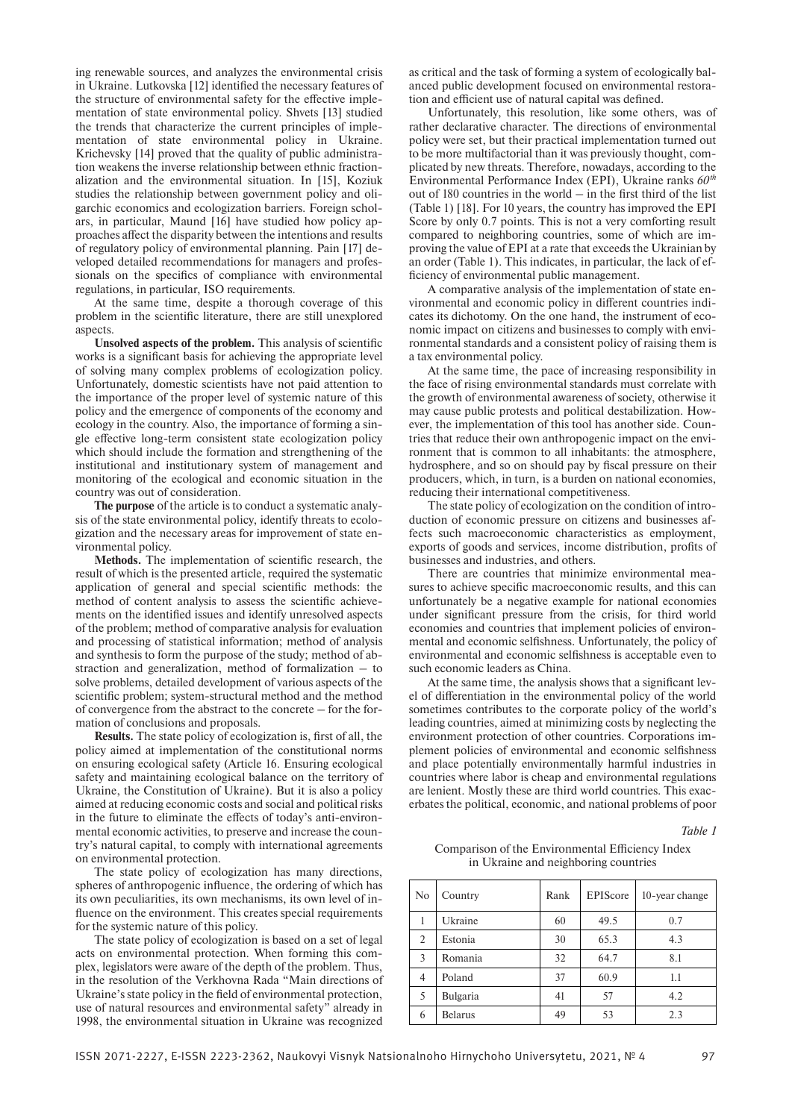ing renewable sources, and analyzes the environmental crisis in Ukraine. Lutkovska [12] identified the necessary features of the structure of environmental safety for the effective implementation of state environmental policy. Shvets [13] studied the trends that characterize the current principles of implementation of state environmental policy in Ukraine. Krichevsky [14] proved that the quality of public administration weakens the inverse relationship between ethnic fractionalization and the environmental situation. In [15], Koziuk studies the relationship between government policy and oligarchic economics and ecologization barriers. Foreign scholars, in particular, Maund [16] have studied how policy approaches affect the disparity between the intentions and results of regulatory policy of environmental planning. Pain [17] developed detailed recommendations for managers and professionals on the specifics of compliance with environmental regulations, in particular, ISO requirements.

At the same time, despite a thorough coverage of this problem in the scientific literature, there are still unexplored aspects.

**Unsolved aspects of the problem.** This analysis of scientific works is a significant basis for achieving the appropriate level of solving many complex problems of ecologization policy. Unfortunately, domestic scientists have not paid attention to the importance of the proper level of systemic nature of this policy and the emergence of components of the economy and ecology in the country. Also, the importance of forming a single effective long-term consistent state ecologization policy which should include the formation and strengthening of the institutional and institutionary system of management and monitoring of the ecological and economic situation in the country was out of consideration.

**The purpose** of the article is to conduct a systematic analysis of the state environmental policy, identify threats to ecologization and the necessary areas for improvement of state environmental policy.

**Methods.** The implementation of scientific research, the result of which is the presented article, required the systematic application of general and special scientific methods: the method of content analysis to assess the scientific achievements on the identified issues and identify unresolved aspects of the problem; method of comparative analysis for evaluation and processing of statistical information; method of analysis and synthesis to form the purpose of the study; method of abstraction and generalization, method of formalization – to solve problems, detailed development of various aspects of the scientific problem; system-structural method and the method of convergence from the abstract to the concrete – for the formation of conclusions and proposals.

**Results.** The state policy of ecologization is, first of all, the policy aimed at implementation of the constitutional norms on ensuring ecological safety (Article 16. Ensuring ecological safety and maintaining ecological balance on the territory of Ukraine, the Constitution of Ukraine). But it is also a policy aimed at reducing economic costs and social and political risks in the future to eliminate the effects of today's anti-environmental economic activities, to preserve and increase the country's natural capital, to comply with international agreements on environmental protection.

The state policy of ecologization has many directions, spheres of anthropogenic influence, the ordering of which has its own peculiarities, its own mechanisms, its own level of influence on the environment. This creates special requirements for the systemic nature of this policy.

The state policy of ecologization is based on a set of legal acts on environmental protection. When forming this complex, legislators were aware of the depth of the problem. Thus, in the resolution of the Verkhovna Rada "Main directions of Ukraine's state policy in the field of environmental protection, use of natural resources and environmental safety" already in 1998, the environmental situation in Ukraine was recognized

as critical and the task of forming a system of ecologically balanced public development focused on environmental restoration and efficient use of natural capital was defined.

Unfortunately, this resolution, like some others, was of rather declarative character. The directions of environmental policy were set, but their practical implementation turned out to be more multifactorial than it was previously thought, complicated by new threats. Therefore, nowadays, according to the Environmental Performance Index (EPI), Ukraine ranks *60th* out of 180 countries in the world – in the first third of the list (Table 1) [18]. For 10 years, the country has improved the EPI Score by only 0.7 points. This is not a very comforting result compared to neighboring countries, some of which are improving the value of EPI at a rate that exceeds the Ukrainian by an order (Table 1). This indicates, in particular, the lack of efficiency of environmental public management.

A comparative analysis of the implementation of state environmental and economic policy in different countries indicates its dichotomy. On the one hand, the instrument of economic impact on citizens and businesses to comply with environmental standards and a consistent policy of raising them is a tax environmental policy.

At the same time, the pace of increasing responsibility in the face of rising environmental standards must correlate with the growth of environmental awareness of society, otherwise it may cause public protests and political destabilization. However, the implementation of this tool has another side. Countries that reduce their own anthropogenic impact on the environment that is common to all inhabitants: the atmosphere, hydrosphere, and so on should pay by fiscal pressure on their producers, which, in turn, is a burden on national economies, reducing their international competitiveness.

The state policy of ecologization on the condition of introduction of economic pressure on citizens and businesses affects such macroeconomic characteristics as employment, exports of goods and services, income distribution, profits of businesses and industries, and others.

There are countries that minimize environmental measures to achieve specific macroeconomic results, and this can unfortunately be a negative example for national economies under significant pressure from the crisis, for third world economies and countries that implement policies of environmental and economic selfishness. Unfortunately, the policy of environmental and economic selfishness is acceptable even to such economic leaders as China.

At the same time, the analysis shows that a significant level of differentiation in the environmental policy of the world sometimes contributes to the corporate policy of the world's leading countries, aimed at minimizing costs by neglecting the environment protection of other countries. Corporations implement policies of environmental and economic selfishness and place potentially environmentally harmful industries in countries where labor is cheap and environmental regulations are lenient. Mostly these are third world countries. This exacerbates the political, economic, and national problems of poor

*Table 1*

Comparison of the Environmental Efficiency Index in Ukraine and neighboring countries

| N <sub>0</sub> | Country         | Rank | EPIScore | 10-year change |  |
|----------------|-----------------|------|----------|----------------|--|
|                | Ukraine         | 60   | 49.5     | 0.7            |  |
| 2              | Estonia         | 30   | 65.3     | 4.3            |  |
| 3              | Romania         | 32   | 64.7     | 8.1            |  |
| $\overline{4}$ | Poland          | 37   | 60.9     | 1.1            |  |
| 5              | <b>Bulgaria</b> | 41   | 57       | 4.2            |  |
| 6              | <b>Belarus</b>  | 49   | 53       | 2.3            |  |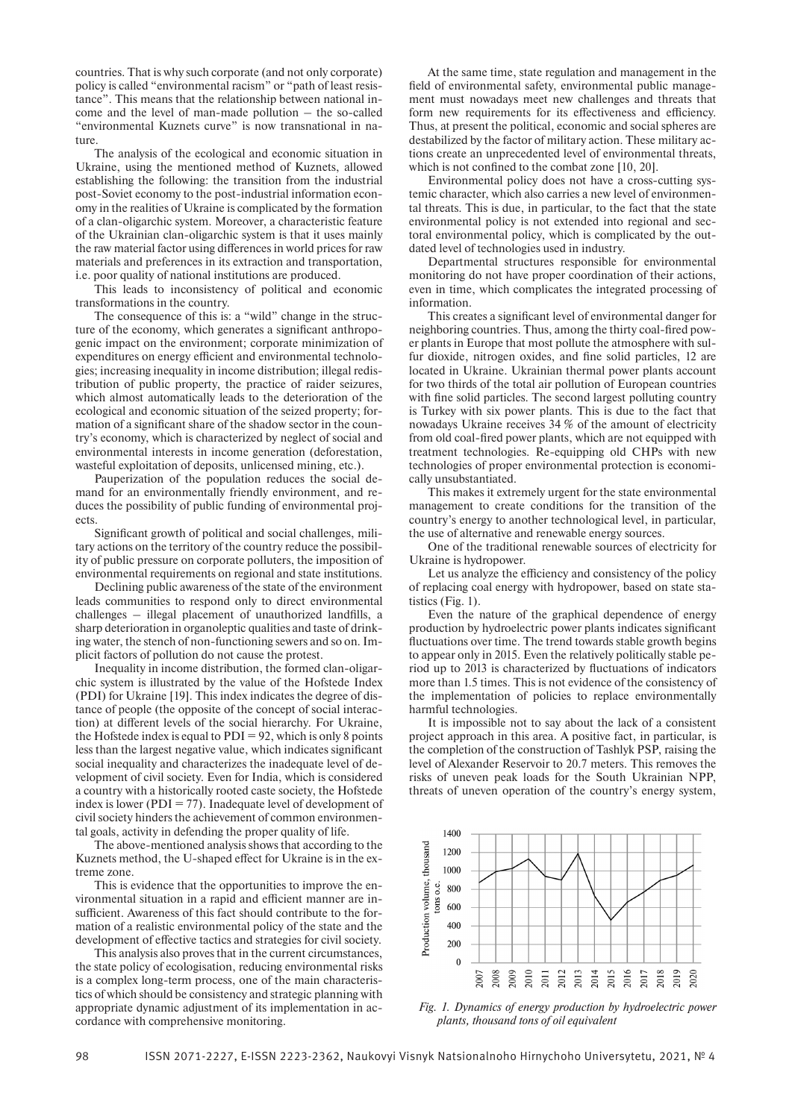countries. That is why such corporate (and not only corporate) policy is called "environmental racism" or "path of least resistance". This means that the relationship between national income and the level of man-made pollution – the so-called "environmental Kuznets curve" is now transnational in nature

The analysis of the ecological and economic situation in Ukraine, using the mentioned method of Kuznets, allowed establishing the following: the transition from the industrial post-Soviet economy to the post-industrial information economy in the realities of Ukraine is complicated by the formation of a clan-oligarchic system. Moreover, a characteristic feature of the Ukrainian clan-oligarchic system is that it uses mainly the raw material factor using differences in world prices for raw materials and preferences in its extraction and transportation, i.e. poor quality of national institutions are produced.

This leads to inconsistency of political and economic transformations in the country.

The consequence of this is: a "wild" change in the structure of the economy, which generates a significant anthropogenic impact on the environment; corporate minimization of expenditures on energy efficient and environmental technologies; increasing inequality in income distribution; illegal redistribution of public property, the practice of raider seizures, which almost automatically leads to the deterioration of the ecological and economic situation of the seized property; formation of a significant share of the shadow sector in the country's economy, which is characterized by neglect of social and environmental interests in income generation (deforestation, wasteful exploitation of deposits, unlicensed mining, etc.).

Pauperization of the population reduces the social demand for an environmentally friendly environment, and reduces the possibility of public funding of environmental projects.

Significant growth of political and social challenges, military actions on the territory of the country reduce the possibility of public pressure on corporate polluters, the imposition of environmental requirements on regional and state institutions.

Declining public awareness of the state of the environment leads communities to respond only to direct environmental challenges – illegal placement of unauthorized landfills, a sharp deterioration in organoleptic qualities and taste of drinking water, the stench of non-functioning sewers and so on. Implicit factors of pollution do not cause the protest.

Inequality in income distribution, the formed clan-oligarchic system is illustrated by the value of the Hofstede Index (PDI) for Ukraine [19]. This index indicates the degree of distance of people (the opposite of the concept of social interaction) at different levels of the social hierarchy. For Ukraine, the Hofstede index is equal to  $PDI = 92$ , which is only 8 points less than the largest negative value, which indicates significant social inequality and characterizes the inadequate level of development of civil society. Even for India, which is considered a country with a historically rooted caste society, the Hofstede index is lower ( $PDI = 77$ ). Inadequate level of development of civil society hinders the achievement of common environmental goals, activity in defending the proper quality of life.

The above-mentioned analysis shows that according to the Kuznets method, the U-shaped effect for Ukraine is in the extreme zone.

This is evidence that the opportunities to improve the environmental situation in a rapid and efficient manner are insufficient. Awareness of this fact should contribute to the formation of a realistic environmental policy of the state and the development of effective tactics and strategies for civil society.

This analysis also proves that in the current circumstances, the state policy of ecologisation, reducing environmental risks is a complex long-term process, one of the main characteristics of which should be consistency and strategic planning with appropriate dynamic adjustment of its implementation in accordance with comprehensive monitoring.

At the same time, state regulation and management in the field of environmental safety, environmental public management must nowadays meet new challenges and threats that form new requirements for its effectiveness and efficiency. Thus, at present the political, economic and social spheres are destabilized by the factor of military action. These military actions create an unprecedented level of environmental threats, which is not confined to the combat zone [10, 20].

Environmental policy does not have a cross-cutting systemic character, which also carries a new level of environmental threats. This is due, in particular, to the fact that the state environmental policy is not extended into regional and sectoral environmental policy, which is complicated by the outdated level of technologies used in industry.

Departmental structures responsible for environmental monitoring do not have proper coordination of their actions, even in time, which complicates the integrated processing of information.

This creates a significant level of environmental danger for neighboring countries. Thus, among the thirty coal-fired power plants in Europe that most pollute the atmosphere with sulfur dioxide, nitrogen oxides, and fine solid particles, 12 are located in Ukraine. Ukrainian thermal power plants account for two thirds of the total air pollution of European countries with fine solid particles. The second largest polluting country is Turkey with six power plants. This is due to the fact that nowadays Ukraine receives 34 % of the amount of electricity from old coal-fired power plants, which are not equipped with treatment technologies. Re-equipping old CHPs with new technologies of proper environmental protection is economically unsubstantiated.

This makes it extremely urgent for the state environmental management to create conditions for the transition of the country's energy to another technological level, in particular, the use of alternative and renewable energy sources.

One of the traditional renewable sources of electricity for Ukraine is hydropower.

Let us analyze the efficiency and consistency of the policy of replacing coal energy with hydropower, based on state statistics (Fig. 1).

Even the nature of the graphical dependence of energy production by hydroelectric power plants indicates significant fluctuations over time. The trend towards stable growth begins to appear only in 2015. Even the relatively politically stable period up to 2013 is characterized by fluctuations of indicators more than 1.5 times. This is not evidence of the consistency of the implementation of policies to replace environmentally harmful technologies.

It is impossible not to say about the lack of a consistent project approach in this area. A positive fact, in particular, is the completion of the construction of Tashlyk PSP, raising the level of Alexander Reservoir to 20.7 meters. This removes the risks of uneven peak loads for the South Ukrainian NPP, threats of uneven operation of the country's energy system,



*Fig. 1. Dynamics of energy production by hydroelectric power plants, thousand tons of oil equivalent*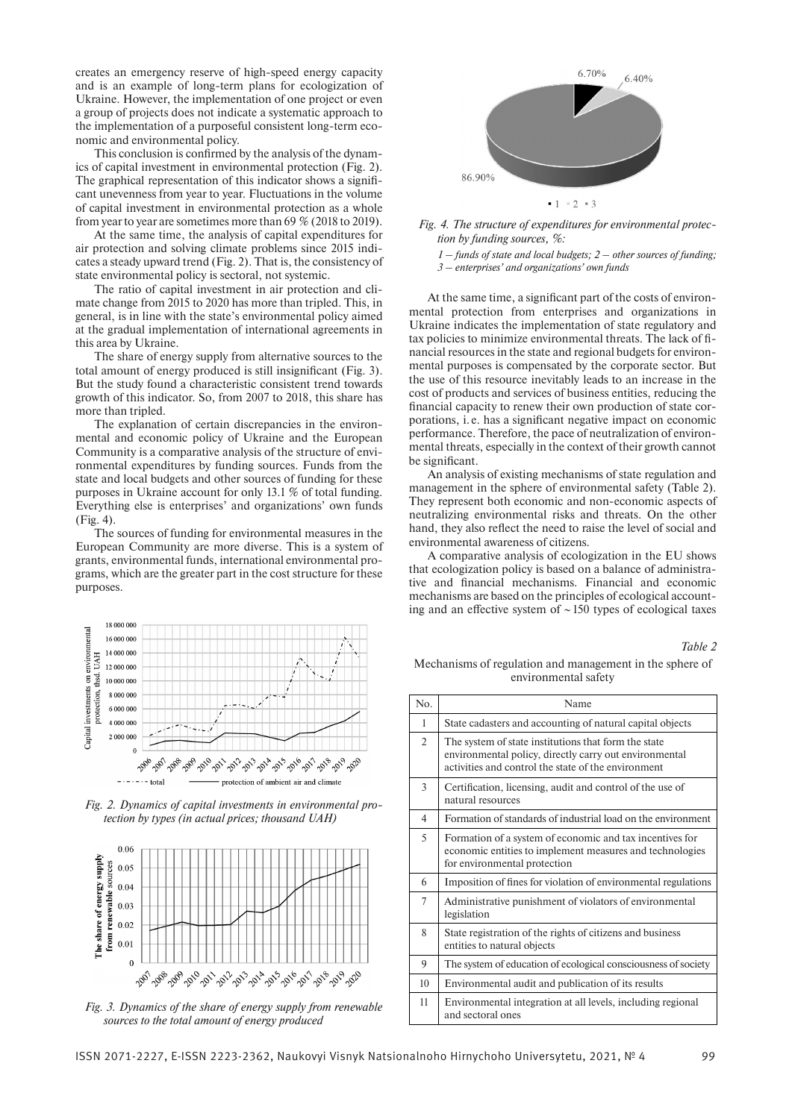creates an emergency reserve of high-speed energy capacity and is an example of long-term plans for ecologization of Ukraine. However, the implementation of one project or even a group of projects does not indicate a systematic approach to the implementation of a purposeful consistent long-term economic and environmental policy.

This conclusion is confirmed by the analysis of the dynamics of capital investment in environmental protection (Fig. 2). The graphical representation of this indicator shows a significant unevenness from year to year. Fluctuations in the volume of capital investment in environmental protection as a whole from year to year are sometimes more than 69 % (2018 to 2019).

At the same time, the analysis of capital expenditures for air protection and solving climate problems since 2015 indicates a steady upward trend (Fig. 2). That is, the consistency of state environmental policy is sectoral, not systemic.

The ratio of capital investment in air protection and climate change from 2015 to 2020 has more than tripled. This, in general, is in line with the state's environmental policy aimed at the gradual implementation of international agreements in this area by Ukraine.

The share of energy supply from alternative sources to the total amount of energy produced is still insignificant (Fig. 3). But the study found a characteristic consistent trend towards growth of this indicator. So, from 2007 to 2018, this share has more than tripled.

The explanation of certain discrepancies in the environmental and economic policy of Ukraine and the European Community is a comparative analysis of the structure of environmental expenditures by funding sources. Funds from the state and local budgets and other sources of funding for these purposes in Ukraine account for only 13.1 % of total funding. Everything else is enterprises' and organizations' own funds (Fig. 4).

The sources of funding for environmental measures in the European Community are more diverse. This is a system of grants, environmental funds, international environmental programs, which are the greater part in the cost structure for these purposes.



*Fig. 2. Dynamics of capital investments in environmental protection by types (in actual prices; thousand UAH)*



*Fig. 3. Dynamics of the share of energy supply from renewable sources to the total amount of energy produced*



*Fig. 4. The structure of expenditures for environmental protection by funding sources, %:*

*1 – funds of state and local budgets; 2 – other sources of funding; 3 – enterprises' and organizations' own funds*

At the same time, a significant part of the costs of environmental protection from enterprises and organizations in Ukraine indicates the implementation of state regulatory and tax policies to minimize environmental threats. The lack of financial resources in the state and regional budgets for environmental purposes is compensated by the corporate sector. But the use of this resource inevitably leads to an increase in the cost of products and services of business entities, reducing the financial capacity to renew their own production of state corporations, i. e. has a significant negative impact on economic performance. Therefore, the pace of neutralization of environmental threats, especially in the context of their growth cannot be significant.

An analysis of existing mechanisms of state regulation and management in the sphere of environmental safety (Table 2). They represent both economic and non-economic aspects of neutralizing environmental risks and threats. On the other hand, they also reflect the need to raise the level of social and environmental awareness of citizens.

A comparative analysis of ecologization in the EU shows that ecologization policy is based on a balance of administrative and financial mechanisms. Financial and economic mechanisms are based on the principles of ecological accounting and an effective system of  $\sim$  150 types of ecological taxes

*Table 2*

Mechanisms of regulation and management in the sphere of environmental safety

| No.            | Name                                                                                                                                                                  |
|----------------|-----------------------------------------------------------------------------------------------------------------------------------------------------------------------|
| 1              | State cadasters and accounting of natural capital objects                                                                                                             |
| $\overline{2}$ | The system of state institutions that form the state<br>environmental policy, directly carry out environmental<br>activities and control the state of the environment |
| 3              | Certification, licensing, audit and control of the use of<br>natural resources                                                                                        |
| $\overline{4}$ | Formation of standards of industrial load on the environment                                                                                                          |
| 5              | Formation of a system of economic and tax incentives for<br>economic entities to implement measures and technologies<br>for environmental protection                  |
| 6              | Imposition of fines for violation of environmental regulations                                                                                                        |
| 7              | Administrative punishment of violators of environmental<br>legislation                                                                                                |
| 8              | State registration of the rights of citizens and business<br>entities to natural objects                                                                              |
| 9              | The system of education of ecological consciousness of society                                                                                                        |
| 10             | Environmental audit and publication of its results                                                                                                                    |
| 11             | Environmental integration at all levels, including regional<br>and sectoral ones                                                                                      |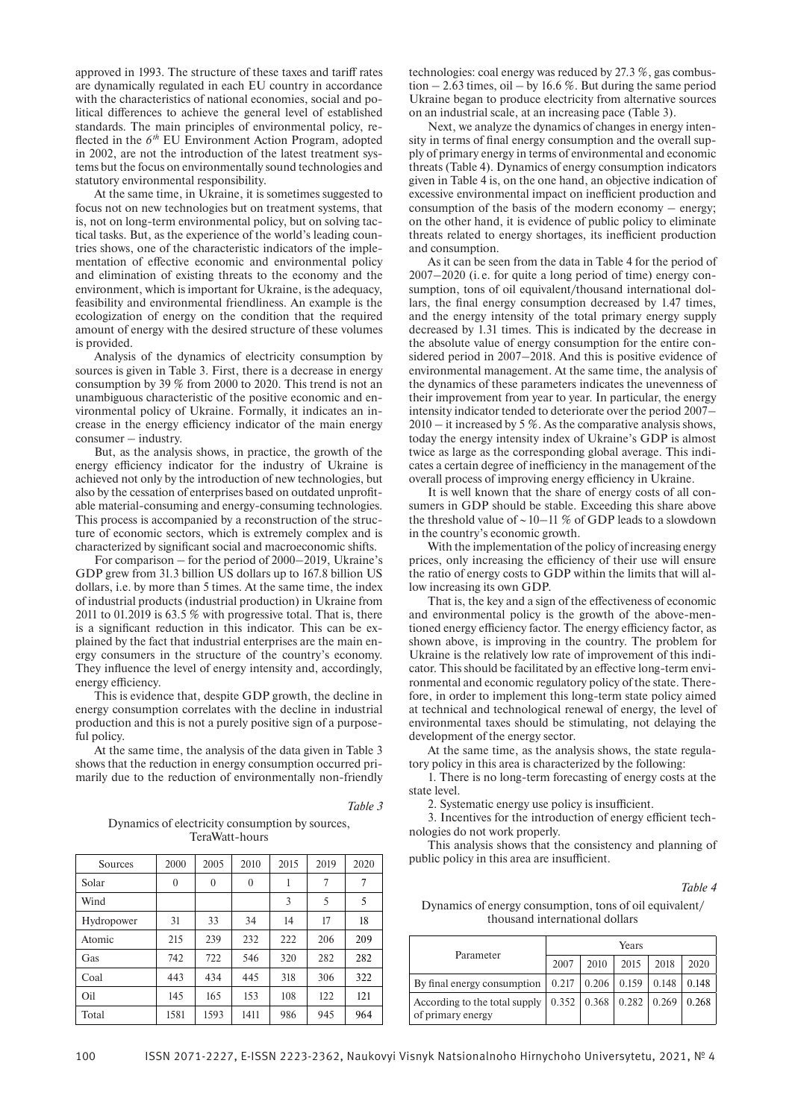approved in 1993. The structure of these taxes and tariff rates are dynamically regulated in each EU country in accordance with the characteristics of national economies, social and political differences to achieve the general level of established standards. The main principles of environmental policy, reflected in the  $6<sup>th</sup>$  EU Environment Action Program, adopted in 2002, are not the introduction of the latest treatment systems but the focus on environmentally sound technologies and statutory environmental responsibility.

At the same time, in Ukraine, it is sometimes suggested to focus not on new technologies but on treatment systems, that is, not on long-term environmental policy, but on solving tactical tasks. But, as the experience of the world's leading countries shows, one of the characteristic indicators of the implementation of effective economic and environmental policy and elimination of existing threats to the economy and the environment, which is important for Ukraine, is the adequacy, feasibility and environmental friendliness. An example is the ecologization of energy on the condition that the required amount of energy with the desired structure of these volumes is provided.

Analysis of the dynamics of electricity consumption by sources is given in Table 3. First, there is a decrease in energy consumption by 39 % from 2000 to 2020. This trend is not an unambiguous characteristic of the positive economic and environmental policy of Ukraine. Formally, it indicates an increase in the energy efficiency indicator of the main energy consumer – industry.

But, as the analysis shows, in practice, the growth of the energy efficiency indicator for the industry of Ukraine is achieved not only by the introduction of new technologies, but also by the cessation of enterprises based on outdated unprofitable material-consuming and energy-consuming technologies. This process is accompanied by a reconstruction of the structure of economic sectors, which is extremely complex and is characterized by significant social and macroeconomic shifts.

For comparison – for the period of 2000–2019, Ukraine's GDP grew from 31.3 billion US dollars up to 167.8 billion US dollars, i.e. by more than 5 times. At the same time, the index of industrial products (industrial production) in Ukraine from 2011 to 01.2019 is 63.5 % with progressive total. That is, there is a significant reduction in this indicator. This can be explained by the fact that industrial enterprises are the main energy consumers in the structure of the country's economy. They influence the level of energy intensity and, accordingly, energy efficiency.

This is evidence that, despite GDP growth, the decline in energy consumption correlates with the decline in industrial production and this is not a purely positive sign of a purposeful policy.

At the same time, the analysis of the data given in Table 3 shows that the reduction in energy consumption occurred primarily due to the reduction of environmentally non-friendly

*Table 3*

Dynamics of electricity consumption by sources, TeraWatt-hours

| Sources    | 2000         | 2005     | 2010     | 2015 | 2019 | 2020 |
|------------|--------------|----------|----------|------|------|------|
| Solar      | $\mathbf{0}$ | $\theta$ | $\theta$ |      | 7    | 7    |
| Wind       |              |          |          | 3    | 5    | 5    |
| Hydropower | 31           | 33       | 34       | 14   | 17   | 18   |
| Atomic     | 215          | 239      | 232      | 222  | 206  | 209  |
| Gas        | 742          | 722      | 546      | 320  | 282  | 282  |
| Coal       | 443          | 434      | 445      | 318  | 306  | 322  |
| Oil        | 145          | 165      | 153      | 108  | 122  | 121  |
| Total      | 1581         | 1593     | 1411     | 986  | 945  | 964  |

technologies: coal energy was reduced by 27.3 %, gas combustion  $-2.63$  times, oil  $-$  by 16.6 %. But during the same period Ukraine began to produce electricity from alternative sources on an industrial scale, at an increasing pace (Table 3).

Next, we analyze the dynamics of changes in energy intensity in terms of final energy consumption and the overall supply of primary energy in terms of environmental and economic threats (Table 4). Dynamics of energy consumption indicators given in Table 4 is, on the one hand, an objective indication of excessive environmental impact on inefficient production and consumption of the basis of the modern economy – energy; on the other hand, it is evidence of public policy to eliminate threats related to energy shortages, its inefficient production and consumption.

As it can be seen from the data in Table 4 for the period of 2007–2020 (i. e. for quite a long period of time) energy consumption, tons of oil equivalent/thousand international dollars, the final energy consumption decreased by 1.47 times, and the energy intensity of the total primary energy supply decreased by 1.31 times. This is indicated by the decrease in the absolute value of energy consumption for the entire considered period in 2007–2018. And this is positive evidence of environmental management. At the same time, the analysis of the dynamics of these parameters indicates the unevenness of their improvement from year to year. In particular, the energy intensity indicator tended to deteriorate over the period 2007–  $2010 -$  it increased by 5 %. As the comparative analysis shows, today the energy intensity index of Ukraine's GDP is almost twice as large as the corresponding global average. This indicates a certain degree of inefficiency in the management of the overall process of improving energy efficiency in Ukraine.

It is well known that the share of energy costs of all consumers in GDP should be stable. Exceeding this share above the threshold value of  $\sim$  10–11 % of GDP leads to a slowdown in the country's economic growth.

With the implementation of the policy of increasing energy prices, only increasing the efficiency of their use will ensure the ratio of energy costs to GDP within the limits that will allow increasing its own GDP.

That is, the key and a sign of the effectiveness of economic and environmental policy is the growth of the above-mentioned energy efficiency factor. The energy efficiency factor, as shown above, is improving in the country. The problem for Ukraine is the relatively low rate of improvement of this indicator. This should be facilitated by an effective long-term environmental and economic regulatory policy of the state. Therefore, in order to implement this long-term state policy aimed at technical and technological renewal of energy, the level of environmental taxes should be stimulating, not delaying the development of the energy sector.

At the same time, as the analysis shows, the state regulatory policy in this area is characterized by the following:

1. There is no long-term forecasting of energy costs at the state level.

2. Systematic energy use policy is insufficient.

3. Incentives for the introduction of energy efficient technologies do not work properly.

This analysis shows that the consistency and planning of public policy in this area are insufficient.

*Table 4*

Dynamics of energy consumption, tons of oil equivalent/ thousand international dollars

| Parameter                                          | Years |      |                                                 |      |       |  |  |
|----------------------------------------------------|-------|------|-------------------------------------------------|------|-------|--|--|
|                                                    | 2007  | 2010 | 2015                                            | 2018 | 2020  |  |  |
| By final energy consumption                        | 0.217 |      | $0.206$   0.159   0.148                         |      | 0.148 |  |  |
| According to the total supply<br>of primary energy |       |      | $0.352$   $0.368$   $0.282$   $0.269$   $0.268$ |      |       |  |  |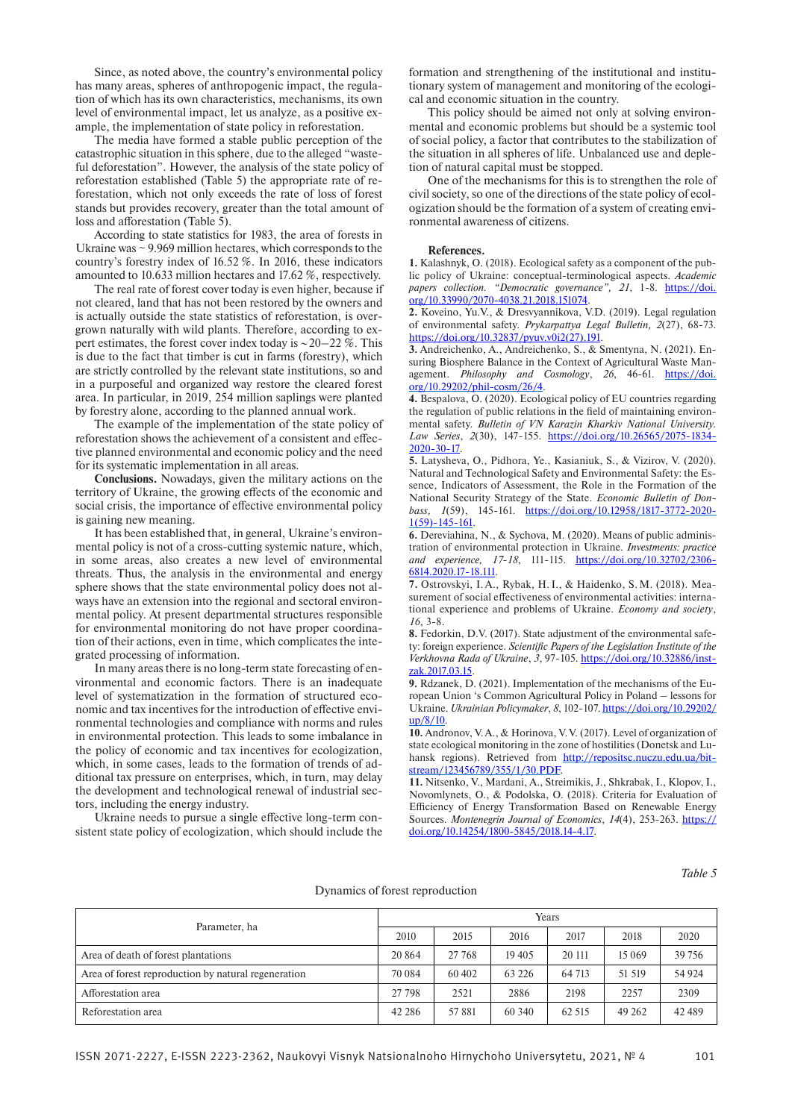Since, as noted above, the country's environmental policy has many areas, spheres of anthropogenic impact, the regulation of which has its own characteristics, mechanisms, its own level of environmental impact, let us analyze, as a positive example, the implementation of state policy in reforestation.

The media have formed a stable public perception of the catastrophic situation in this sphere, due to the alleged "wasteful deforestation". However, the analysis of the state policy of reforestation established (Table 5) the appropriate rate of reforestation, which not only exceeds the rate of loss of forest stands but provides recovery, greater than the total amount of loss and afforestation (Table 5).

According to state statistics for 1983, the area of forests in Ukraine was ~ 9.969 million hectares, which corresponds to the country's forestry index of 16.52 %. In 2016, these indicators amounted to 10.633 million hectares and 17.62 %, respectively.

The real rate of forest cover today is even higher, because if not cleared, land that has not been restored by the owners and is actually outside the state statistics of reforestation, is overgrown naturally with wild plants. Therefore, according to expert estimates, the forest cover index today is  $\sim$  20–22 %. This is due to the fact that timber is cut in farms (forestry), which are strictly controlled by the relevant state institutions, so and in a purposeful and organized way restore the cleared forest area. In particular, in 2019, 254 million saplings were planted by forestry alone, according to the planned annual work.

The example of the implementation of the state policy of reforestation shows the achievement of a consistent and effective planned environmental and economic policy and the need for its systematic implementation in all areas.

**Conclusions.** Nowadays, given the military actions on the territory of Ukraine, the growing effects of the economic and social crisis, the importance of effective environmental policy is gaining new meaning.

It has been established that, in general, Ukraine's environmental policy is not of a cross-cutting systemic nature, which, in some areas, also creates a new level of environmental threats. Thus, the analysis in the environmental and energy sphere shows that the state environmental policy does not always have an extension into the regional and sectoral environmental policy. At present departmental structures responsible for environmental monitoring do not have proper coordination of their actions, even in time, which complicates the integrated processing of information.

In many areas there is no long-term state forecasting of environmental and economic factors. There is an inadequate level of systematization in the formation of structured economic and tax incentives for the introduction of effective environmental technologies and compliance with norms and rules in environmental protection. This leads to some imbalance in the policy of economic and tax incentives for ecologization, which, in some cases, leads to the formation of trends of additional tax pressure on enterprises, which, in turn, may delay the development and technological renewal of industrial sectors, including the energy industry.

Ukraine needs to pursue a single effective long-term consistent state policy of ecologization, which should include the formation and strengthening of the institutional and institutionary system of management and monitoring of the ecological and economic situation in the country.

This policy should be aimed not only at solving environmental and economic problems but should be a systemic tool of social policy, a factor that contributes to the stabilization of the situation in all spheres of life. Unbalanced use and depletion of natural capital must be stopped.

One of the mechanisms for this is to strengthen the role of civil society, so one of the directions of the state policy of ecologization should be the formation of a system of creating environmental awareness of citizens.

#### **References.**

**1.** Kalashnyk, O. (2018). Ecological safety as a component of the public policy of Ukraine: conceptual-terminological aspects. *Academic papers collection. "Democratic governance", 21*, 1-8. https://doi. org/10.33990/2070-4038.21.2018.151074.

**2.** Koveino, Yu.V., & Dresvyannikova, V.D. (2019). Legal regulation of environmental safety. *Prykarpattya Legal Bulletin, 2*(27), 68-73. https://doi.org/10.32837/pyuv.v0i2(27).191.

**3.** Andreichenko, A., Andreichenko, S., & Smentyna, N. (2021). Ensuring Biosphere Balance in the Context of Agricultural Waste Management. Philosophy and Cosmology, 26, 46-61. https://doi. org/10.29202/phil-cosm/26/4.

**4.** Bespalova, О. (2020). Ecological policy of EU countries regarding the regulation of public relations in the field of maintaining environmental safety. *Bulletin of VN Karazin Kharkiv National University. Law Series*, *2*(30), 147-155. https://doi.org/10.26565/2075-1834-2020-30-17.

**5.** Latysheva, O., Pidhora, Ye., Kasianiuk, S., & Vizirov, V. (2020). Natural and Technological Safety and Environmental Safety: the Essence, Indicators of Assessment, the Role in the Formation of the National Security Strategy of the State. *Economic Bulletin of Donbass, 1*(59), 145-161. https://doi.org/10.12958/1817-3772-2020-1(59)-145-161.

**6.** Dereviahina, N., & Sychova, M. (2020). Means of public administration of environmental protection in Ukraine. *Investments: practice and experience, 17-18*, 111-115. https://doi.org/10.32702/2306-6814.2020.17-18.111.

**7.** Ostrovskyi, I.A., Rybak, H.I., & Haidenko, S.M. (2018). Measurement of social effectiveness of environmental activities: international experience and problems of Ukraine. *Economy and society*, *16*, 3-8.

**8.** Fedorkin, D.V. (2017). State adjustment of the environmental safety: foreign experience. *Scientific Papers of the Legislation Institute of the Verkhovna Rada of Ukraine*, *3*, 97-105. https://doi.org/10.32886/instzak.2017.03.15.

**9.** Rdzanek, D. (2021). Implementation of the mechanisms of the European Union 's Common Agricultural Policy in Poland – lessons for Ukraine. *Ukrainian Policymaker*, *8*, 102-107. https://doi.org/10.29202/ up/8/10.

**10.** Andronov, V.A., & Horinova, V.V. (2017). Level of organization of state ecological monitoring in the zone of hostilities (Donetsk and Luhansk regions). Retrieved from http://repositsc.nuczu.edu.ua/bitstream/123456789/355/1/30.PDF

**11.** Nitsenko, V., Mardani, A., Streimikis, J., Shkrabak, I., Klopov, I., Novomlynets, O., & Podolska, O. (2018). Criteria for Evaluation of Efficiency of Energy Transformation Based on Renewable Energy Sources. *Montenegrin Journal of Economics*, 14(4), 253-263. https:// doi.org/10.14254/1800-5845/2018.14-4.17.

*Table 5*

|                                                     |          | Years   |          |        |         |         |  |  |
|-----------------------------------------------------|----------|---------|----------|--------|---------|---------|--|--|
| Parameter, ha                                       | 2010     | 2015    | 2016     | 2017   | 2018    | 2020    |  |  |
| Area of death of forest plantations                 | 20864    | 27 768  | 19405    | 20 111 | 15 0 69 | 39 75 6 |  |  |
| Area of forest reproduction by natural regeneration | 70 084   | 60 40 2 | 63 2 2 6 | 64 713 | 51 519  | 54 9 24 |  |  |
| Afforestation area                                  | 27 798   | 2521    | 2886     | 2198   | 2257    | 2309    |  |  |
| Reforestation area                                  | 42 2 8 6 | 57881   | 60 340   | 62.515 | 49 26 2 | 42 489  |  |  |

#### Dynamics of forest reproduction